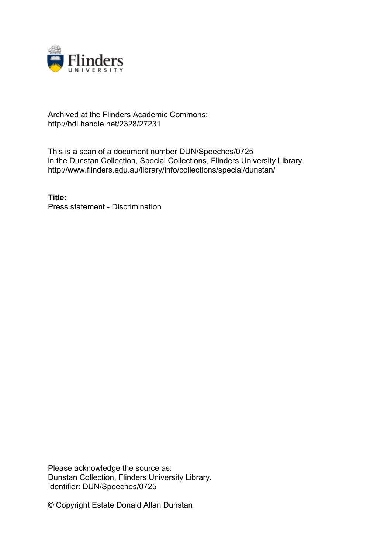

## Archived at the Flinders Academic Commons: http://hdl.handle.net/2328/27231

This is a scan of a document number DUN/Speeches/0725 in the Dunstan Collection, Special Collections, Flinders University Library. http://www.flinders.edu.au/library/info/collections/special/dunstan/

**Title:** Press statement - Discrimination

Please acknowledge the source as: Dunstan Collection, Flinders University Library. Identifier: DUN/Speeches/0725

© Copyright Estate Donald Allan Dunstan